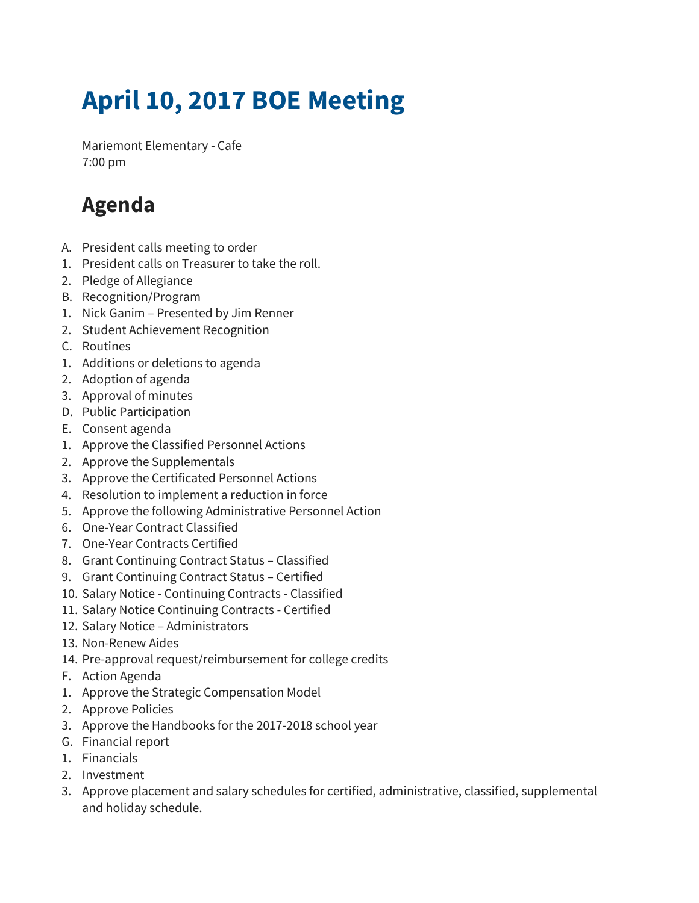## **April 10, 2017 BOE Meeting**

Mariemont Elementary - Cafe 7:00 pm

## **Agenda**

- A. President calls meeting to order
- 1. President calls on Treasurer to take the roll.
- 2. Pledge of Allegiance
- B. Recognition/Program
- 1. Nick Ganim Presented by Jim Renner
- 2. Student Achievement Recognition
- C. Routines
- 1. Additions or deletions to agenda
- 2. Adoption of agenda
- 3. Approval of minutes
- D. Public Participation
- E. Consent agenda
- 1. Approve the Classified Personnel Actions
- 2. Approve the Supplementals
- 3. Approve the Certificated Personnel Actions
- 4. Resolution to implement a reduction in force
- 5. Approve the following Administrative Personnel Action
- 6. One-Year Contract Classified
- 7. One-Year Contracts Certified
- 8. Grant Continuing Contract Status Classified
- 9. Grant Continuing Contract Status Certified
- 10. Salary Notice Continuing Contracts Classified
- 11. Salary Notice Continuing Contracts Certified
- 12. Salary Notice Administrators
- 13. Non-Renew Aides
- 14. Pre-approval request/reimbursement for college credits
- F. Action Agenda
- 1. Approve the Strategic Compensation Model
- 2. Approve Policies
- 3. Approve the Handbooks for the 2017-2018 school year
- G. Financial report
- 1. Financials
- 2. Investment
- 3. Approve placement and salary schedules for certified, administrative, classified, supplemental and holiday schedule.